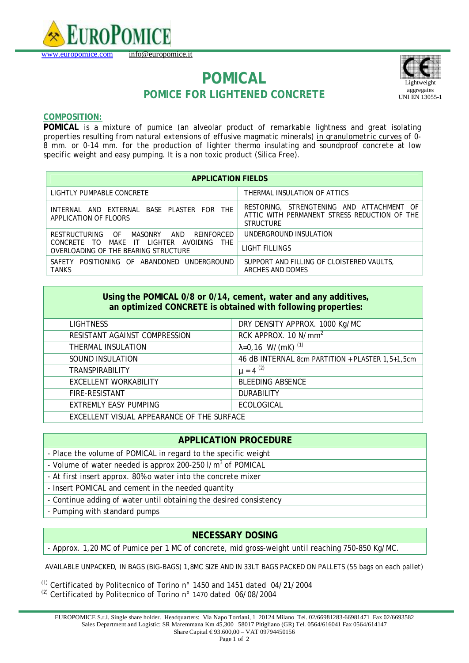

# **POMICAL POMICE FOR LIGHTENED CONCRETE**



### **COMPOSITION:**

**POMICAL** is a mixture o*f* pumice (an alveolar product o*f* remarkable lightness and great isolating properties resulting *from* natural extensions of effusive magmatic minerals*) in granulometric curves of 0- 8 mm. or 0-14 mm. for the production of lighter* thermo insulating and soundproof *concrete* at low speci*f*ic weight and easy pumping. It is a non toxic product (Silica Free).

| <b>APPLICATION FIELDS</b>                                                                                                                                                 |                                                                                                               |  |
|---------------------------------------------------------------------------------------------------------------------------------------------------------------------------|---------------------------------------------------------------------------------------------------------------|--|
| LIGHTLY PUMPABLE CONCRETE                                                                                                                                                 | THERMAL INSULATION OF ATTICS                                                                                  |  |
| AND EXTERNAL BASE PLASTER FOR THE<br>INTFRNAI<br>APPLICATION OF FLOORS                                                                                                    | RESTORING, STRENGTENING AND ATTACHMENT OF<br>ATTIC WITH PERMANENT STRESS REDUCTION OF THE<br><b>STRUCTURE</b> |  |
| - OF<br>AND<br>RESTRUCTURING<br>MASONRY<br>REINFORCED<br>I IGHTFR<br>MAKF IT<br>AVOIDING<br><b>THF</b><br><b>CONCRETE</b><br>- TO<br>OVERLOADING OF THE BEARING STRUCTURE | UNDERGROUND INSULATION                                                                                        |  |
|                                                                                                                                                                           | LIGHT FILLINGS                                                                                                |  |
| SAFFTY POSITIONING OF ABANDONED<br>UNDERGROUND<br><b>TANKS</b>                                                                                                            | SUPPORT AND FILLING OF CLOISTERED VAULTS,<br>ARCHES AND DOMES                                                 |  |

| Using the POMICAL 0/8 or 0/14, cement, water and any additives, |  |
|-----------------------------------------------------------------|--|
| an optimized CONCRETE is obtained with following properties:    |  |

| LIGHTNESS                                  | DRY DENSITY APPROX. 1000 Kg/MC                   |
|--------------------------------------------|--------------------------------------------------|
| RESISTANT AGAINST COMPRESSION              | RCK APPROX. 10 N/mm <sup>2</sup>                 |
| THERMAL INSULATION                         | $\lambda = 0.16$ W/(mK) <sup>(1)</sup>           |
| SOUND INSULATION                           | 46 dB INTERNAL 8cm PARTITION + PLASTER 1,5+1,5cm |
| <b>TRANSPIRABILITY</b>                     | $\mu = 4^{(2)}$                                  |
| EXCELLENT WORKABILITY                      | <b>BLEEDING ABSENCE</b>                          |
| FIRE-RESISTANT                             | <b>DURABILITY</b>                                |
| <b>EXTREMLY EASY PUMPING</b>               | <b>ECOLOGICAL</b>                                |
| EXCELLENT VISUAL APPEARANCE OF THE SURFACE |                                                  |

## **APPLICATION PROCEDURE**

- Place the volume of POMICAL in regard to the specific weight
- Volume of water needed is approx 200-250 I/m<sup>3</sup> of POMICAL
- At first insert approx. 80% o water into the concrete mixer
- Insert POMICAL and cement in the needed quantity
- Continue adding of water until obtaining the desired consistency
- Pumping with standard pumps

#### **NECESSARY DOSING**

- Approx. 1,20 MC of Pumice per 1 MC of concrete, mid gross-weight until reaching 750-850 Kg/MC.

AVAILABLE UNPACKED, IN BAGS (BIG-BAGS) 1,8MC SIZE AND IN 33LT BAGS PACKED ON PALLETS (55 bags on each pallet)

 $(1)$  Certificated by Politecnico of Torino n° 1450 and 1451 dated 04/21/2004

(2) Certificated by Politecnico of Torino n° 1470 dated 06/08/2004